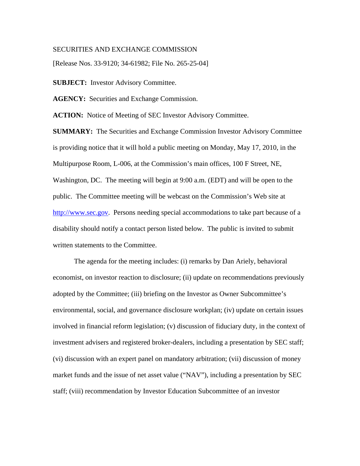## SECURITIES AND EXCHANGE COMMISSION

[Release Nos. 33-9120; 34-61982; File No. 265-25-04]

**SUBJECT:** Investor Advisory Committee.

**AGENCY:** Securities and Exchange Commission.

**ACTION:** Notice of Meeting of SEC Investor Advisory Committee.

**SUMMARY:** The Securities and Exchange Commission Investor Advisory Committee is providing notice that it will hold a public meeting on Monday, May 17, 2010, in the Multipurpose Room, L-006, at the Commission's main offices, 100 F Street, NE, Washington, DC. The meeting will begin at 9:00 a.m. (EDT) and will be open to the public. The Committee meeting will be webcast on the Commission's Web site at http://www.sec.gov. Persons needing special accommodations to take part because of a disability should notify a contact person listed below. The public is invited to submit written statements to the Committee.

The agenda for the meeting includes: (i) remarks by Dan Ariely, behavioral economist, on investor reaction to disclosure; (ii) update on recommendations previously adopted by the Committee; (iii) briefing on the Investor as Owner Subcommittee's environmental, social, and governance disclosure workplan; (iv) update on certain issues involved in financial reform legislation; (v) discussion of fiduciary duty, in the context of investment advisers and registered broker-dealers, including a presentation by SEC staff; (vi) discussion with an expert panel on mandatory arbitration; (vii) discussion of money market funds and the issue of net asset value ("NAV"), including a presentation by SEC staff; (viii) recommendation by Investor Education Subcommittee of an investor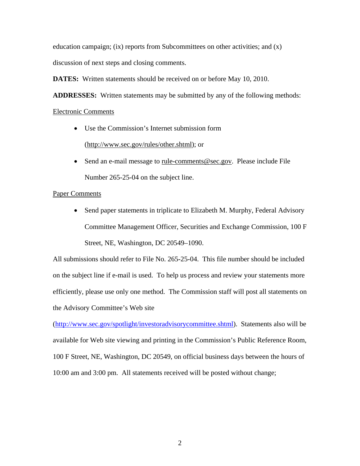education campaign; (ix) reports from Subcommittees on other activities; and (x)

discussion of next steps and closing comments.

**DATES:** Written statements should be received on or before May 10, 2010.

**ADDRESSES:** Written statements may be submitted by any of the following methods:

## Electronic Comments

- Use the Commission's Internet submission form (http://www.sec.gov/rules/other.shtml); or
- Send an e-mail message to <u>rule-comments@sec.gov</u>. Please include File Number 265-25-04 on the subject line.

## Paper Comments

• Send paper statements in triplicate to Elizabeth M. Murphy, Federal Advisory Committee Management Officer, Securities and Exchange Commission, 100 F Street, NE, Washington, DC 20549–1090.

All submissions should refer to File No. 265-25-04. This file number should be included on the subject line if e-mail is used. To help us process and review your statements more efficiently, please use only one method. The Commission staff will post all statements on the Advisory Committee's Web site

(http://www.sec.gov/spotlight/investoradvisorycommittee.shtml). Statements also will be available for Web site viewing and printing in the Commission's Public Reference Room, 100 F Street, NE, Washington, DC 20549, on official business days between the hours of 10:00 am and 3:00 pm. All statements received will be posted without change;